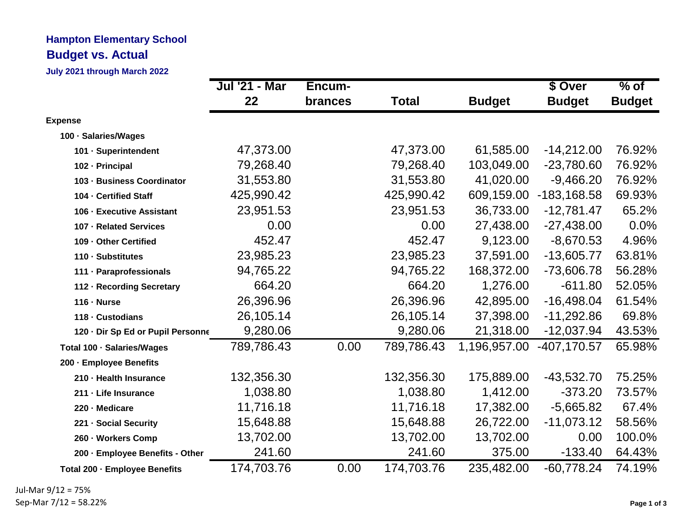## **Hampton Elementary School Budget vs. Actual**

**July 2021 through March 2022**

|                                   | Jul '21 - Mar | Encum-         |            |               | \$ Over        | $%$ of        |
|-----------------------------------|---------------|----------------|------------|---------------|----------------|---------------|
|                                   | 22            | <b>brances</b> | Total      | <b>Budget</b> | <b>Budget</b>  | <b>Budget</b> |
| <b>Expense</b>                    |               |                |            |               |                |               |
| 100 · Salaries/Wages              |               |                |            |               |                |               |
| 101 · Superintendent              | 47,373.00     |                | 47,373.00  | 61,585.00     | $-14,212.00$   | 76.92%        |
| 102 - Principal                   | 79,268.40     |                | 79,268.40  | 103,049.00    | $-23,780.60$   | 76.92%        |
| 103 - Business Coordinator        | 31,553.80     |                | 31,553.80  | 41,020.00     | $-9,466.20$    | 76.92%        |
| 104 - Certified Staff             | 425,990.42    |                | 425,990.42 | 609,159.00    | $-183, 168.58$ | 69.93%        |
| 106 - Executive Assistant         | 23,951.53     |                | 23,951.53  | 36,733.00     | $-12,781.47$   | 65.2%         |
| 107 - Related Services            | 0.00          |                | 0.00       | 27,438.00     | $-27,438.00$   | 0.0%          |
| 109 - Other Certified             | 452.47        |                | 452.47     | 9,123.00      | $-8,670.53$    | 4.96%         |
| 110 - Substitutes                 | 23,985.23     |                | 23,985.23  | 37,591.00     | $-13,605.77$   | 63.81%        |
| 111 - Paraprofessionals           | 94,765.22     |                | 94,765.22  | 168,372.00    | -73,606.78     | 56.28%        |
| 112 - Recording Secretary         | 664.20        |                | 664.20     | 1,276.00      | $-611.80$      | 52.05%        |
| $116 \cdot$ Nurse                 | 26,396.96     |                | 26,396.96  | 42,895.00     | $-16,498.04$   | 61.54%        |
| 118 - Custodians                  | 26,105.14     |                | 26,105.14  | 37,398.00     | $-11,292.86$   | 69.8%         |
| 120 - Dir Sp Ed or Pupil Personne | 9,280.06      |                | 9,280.06   | 21,318.00     | $-12,037.94$   | 43.53%        |
| Total 100 · Salaries/Wages        | 789,786.43    | 0.00           | 789,786.43 | 1,196,957.00  | $-407, 170.57$ | 65.98%        |
| 200 - Employee Benefits           |               |                |            |               |                |               |
| 210 - Health Insurance            | 132,356.30    |                | 132,356.30 | 175,889.00    | $-43,532.70$   | 75.25%        |
| 211 - Life Insurance              | 1,038.80      |                | 1,038.80   | 1,412.00      | $-373.20$      | 73.57%        |
| 220 - Medicare                    | 11,716.18     |                | 11,716.18  | 17,382.00     | $-5,665.82$    | 67.4%         |
| 221 - Social Security             | 15,648.88     |                | 15,648.88  | 26,722.00     | $-11,073.12$   | 58.56%        |
| 260 - Workers Comp                | 13,702.00     |                | 13,702.00  | 13,702.00     | 0.00           | 100.0%        |
| 200 - Employee Benefits - Other   | 241.60        |                | 241.60     | 375.00        | $-133.40$      | 64.43%        |
| Total 200 - Employee Benefits     | 174,703.76    | 0.00           | 174,703.76 | 235,482.00    | $-60,778.24$   | 74.19%        |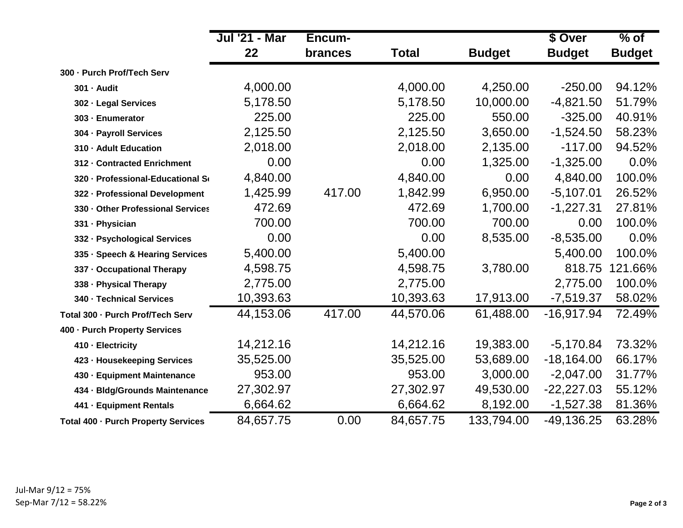|                                     | <b>Jul '21 - Mar</b> | Encum-         |              |               | \$ Over       | $%$ of        |
|-------------------------------------|----------------------|----------------|--------------|---------------|---------------|---------------|
|                                     | 22                   | <b>brances</b> | <b>Total</b> | <b>Budget</b> | <b>Budget</b> | <b>Budget</b> |
| 300 - Purch Prof/Tech Serv          |                      |                |              |               |               |               |
| 301 - Audit                         | 4,000.00             |                | 4,000.00     | 4,250.00      | $-250.00$     | 94.12%        |
| 302 - Legal Services                | 5,178.50             |                | 5,178.50     | 10,000.00     | $-4,821.50$   | 51.79%        |
| 303 - Enumerator                    | 225.00               |                | 225.00       | 550.00        | $-325.00$     | 40.91%        |
| 304 - Payroll Services              | 2,125.50             |                | 2,125.50     | 3,650.00      | $-1,524.50$   | 58.23%        |
| 310 - Adult Education               | 2,018.00             |                | 2,018.00     | 2,135.00      | $-117.00$     | 94.52%        |
| 312 - Contracted Enrichment         | 0.00                 |                | 0.00         | 1,325.00      | $-1,325.00$   | 0.0%          |
| 320 - Professional-Educational So   | 4,840.00             |                | 4,840.00     | 0.00          | 4,840.00      | 100.0%        |
| 322 - Professional Development      | 1,425.99             | 417.00         | 1,842.99     | 6,950.00      | $-5,107.01$   | 26.52%        |
| 330 - Other Professional Services   | 472.69               |                | 472.69       | 1,700.00      | $-1,227.31$   | 27.81%        |
| 331 · Physician                     | 700.00               |                | 700.00       | 700.00        | 0.00          | 100.0%        |
| 332 - Psychological Services        | 0.00                 |                | 0.00         | 8,535.00      | $-8,535.00$   | 0.0%          |
| 335 · Speech & Hearing Services     | 5,400.00             |                | 5,400.00     |               | 5,400.00      | 100.0%        |
| 337 - Occupational Therapy          | 4,598.75             |                | 4,598.75     | 3,780.00      | 818.75        | 121.66%       |
| 338 - Physical Therapy              | 2,775.00             |                | 2,775.00     |               | 2,775.00      | 100.0%        |
| 340 - Technical Services            | 10,393.63            |                | 10,393.63    | 17,913.00     | $-7,519.37$   | 58.02%        |
| Total 300 - Purch Prof/Tech Serv    | 44,153.06            | 417.00         | 44,570.06    | 61,488.00     | $-16,917.94$  | 72.49%        |
| 400 - Purch Property Services       |                      |                |              |               |               |               |
| 410 - Electricity                   | 14,212.16            |                | 14,212.16    | 19,383.00     | $-5,170.84$   | 73.32%        |
| 423 - Housekeeping Services         | 35,525.00            |                | 35,525.00    | 53,689.00     | $-18,164.00$  | 66.17%        |
| 430 - Equipment Maintenance         | 953.00               |                | 953.00       | 3,000.00      | $-2,047.00$   | 31.77%        |
| 434 - Bldg/Grounds Maintenance      | 27,302.97            |                | 27,302.97    | 49,530.00     | $-22,227.03$  | 55.12%        |
| 441 - Equipment Rentals             | 6,664.62             |                | 6,664.62     | 8,192.00      | $-1,527.38$   | 81.36%        |
| Total 400 - Purch Property Services | 84,657.75            | 0.00           | 84,657.75    | 133,794.00    | $-49,136.25$  | 63.28%        |